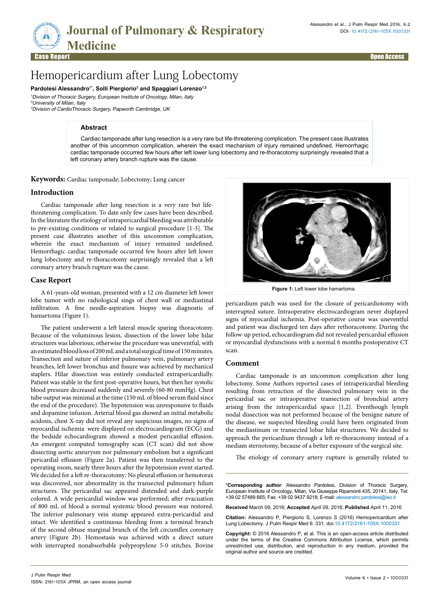

# Hemopericardium after Lung Lobectomy

Pardolesi Alessandro<sup>1\*</sup>, Solli Piergiorio<sup>3</sup> and Spaggiari Lorenzo<sup>1,2</sup> <sup>1</sup>Division of Thoracic Surgery, European Institute of Oncology, Milan, Italy <sup>2</sup>University of Milan, Italy

<sup>3</sup>Division of CardioThoracic Surgery, Papworth Cambridge, UK

### **Abstract**

Cardiac tamponade after lung resection is a very rare but life-threatening complication. The present case illustrates another of this uncommon complication, wherein the exact mechanism of injury remained undefined. Hemorrhagic cardiac tamponade occurred few hours after left lower lung lobectomy and re-thoracotomy surprisingly revealed that a left coronary artery branch rupture was the cause.

**Keywords:** Cardiac tamponade; Lobectomy; Lung cancer

## **Introduction**

Cardiac tamponade after lung resection is a very rare but lifethreatening complication. To date only few cases have been described. In the literature the etiology of intrapericardial bleeding was attributable to pre-existing conditions or related to surgical procedure [1-3]. The present case illustrates another of this uncommon complication, wherein the exact mechanism of injury remained undefined. Hemorrhagic cardiac tamponade occurred few hours after left lower lung lobectomy and re-thoracotomy surprisingly revealed that a left coronary artery branch rupture was the cause.

# **Case Report**

A 61-years-old woman, presented with a 12 cm diameter left lower lobe tumor with no radiological sings of chest wall or mediastinal infiltration. A fine needle-aspiration biopsy was diagnostic of hamartoma (Figure 1).

The patient underwent a left lateral muscle sparing thoracotomy. Because of the voluminous lesion, dissection of the lower lobe hilar structures was laborious; otherwise the procedure was uneventful, with an estimated blood loss of 200 mL and a total surgical time of 150 minutes. Transection and suture of inferior pulmonary vein, pulmonary artery branches, left lower bronchus and fissure was achieved by mechanical staplers. Hilar dissection was entirely conducted extrapericardially. Patient was stable in the first post-operative hours, but then her systolic blood pressure decreased suddenly and severely (60-80 mmHg). Chest tube output was minimal at the time (150 mL of blood serum fluid since the end of the procedure). The hypotension was unresponsive to fluids and dopamine infusion. Arterial blood gas showed an initial metabolic acidosis, chest X-ray did not reveal any suspicious images, no signs of myocardial ischemia were displayed on electrocardiogram (ECG) and the bedside echocardiogram showed a modest pericardial effusion. An emergent computed tomography scan (CT scan) did not show dissecting aortic aneurysm nor pulmonary embolism but a significant pericardial effusion (Figure 2a). Patient was then transferred to the operating room, nearly three hours after the hypotension event started. We decided for a left re-thoracotomy: No pleural effusion or hemotorax was discovered, nor abnormality in the transected pulmonary hilum structures. The pericardial sac appeared distended and dark-purple colored. A wide pericardial window was performed; after evacuation of 800 mL of blood a normal systemic blood pressure was restored. The inferior pulmonary vein stump appeared extra-pericardial and intact. We identified a continuous bleeding from a terminal branch of the second obtuse marginal branch of the left circumflex coronary artery (Figure 2b). Hemostasis was achieved with a direct suture with interrupted nonabsorbable polypropylene 5-0 stitches. Bovine

ISSN: 2161-105X JPRM, an open access journal



**Figure 1:** Left lower lobe hamartoma.

pericardium patch was used for the closure of pericardiotomy with interrupted suture. Intraoperative electrocardiogram never displayed signs of myocardial ischemia. Post-operative course was uneventful and patient was discharged ten days after rethoracotomy. During the follow-up period, echocardiogram did not revealed pericardial effusion or myocardial dysfunctions with a normal 6 months postoperative CT scan.

#### **Comment**

Cardiac tamponade is an uncommon complication after lung lobectomy. Some Authors reported cases of intrapericardial bleeding resulting from retraction of the dissected pulmonary vein in the pericardial sac or intraoperative transection of bronchial artery arising from the intrapericardial space [1,2]. Eventhough lymph nodal dissection was not performed because of the benigne nature of the disease, we suspected bleeding could have been originated from the mediastinum or transected lobar hilar structures. We decided to approach the pericardium through a left re-thoracotomy instead of a mediam sternotomy, because of a better exposure of the surgical site.

The etiology of coronary artery rupture is generally related to

\***Corresponding author**: Alessandro Pardolesi, Division of Thoracic Surgery, European Institute of Oncology, Milan, Via Giuseppe Ripamonti 435, 20141, Italy, Tel: +39 02 57489 665; Fax: +39 02 9437 9218; E-mail: alessandro.pardolesi@ieo.it

**Received** March 09, 2016; **Accepted** April 09, 2016; **Published** April 11, 2016

**Citation:** Alessandro P, Piergiorio S, Lorenzo S (2016) Hemopericardium after Lung Lobectomy. J Pulm Respir Med 6: 331. doi:10.4172/2161-105X.1000331

**Copyright:** © 2016 Alessandro P, et al. This is an open-access article distributed under the terms of the Creative Commons Attribution License, which permits unrestricted use, distribution, and reproduction in any medium, provided the original author and source are credited.